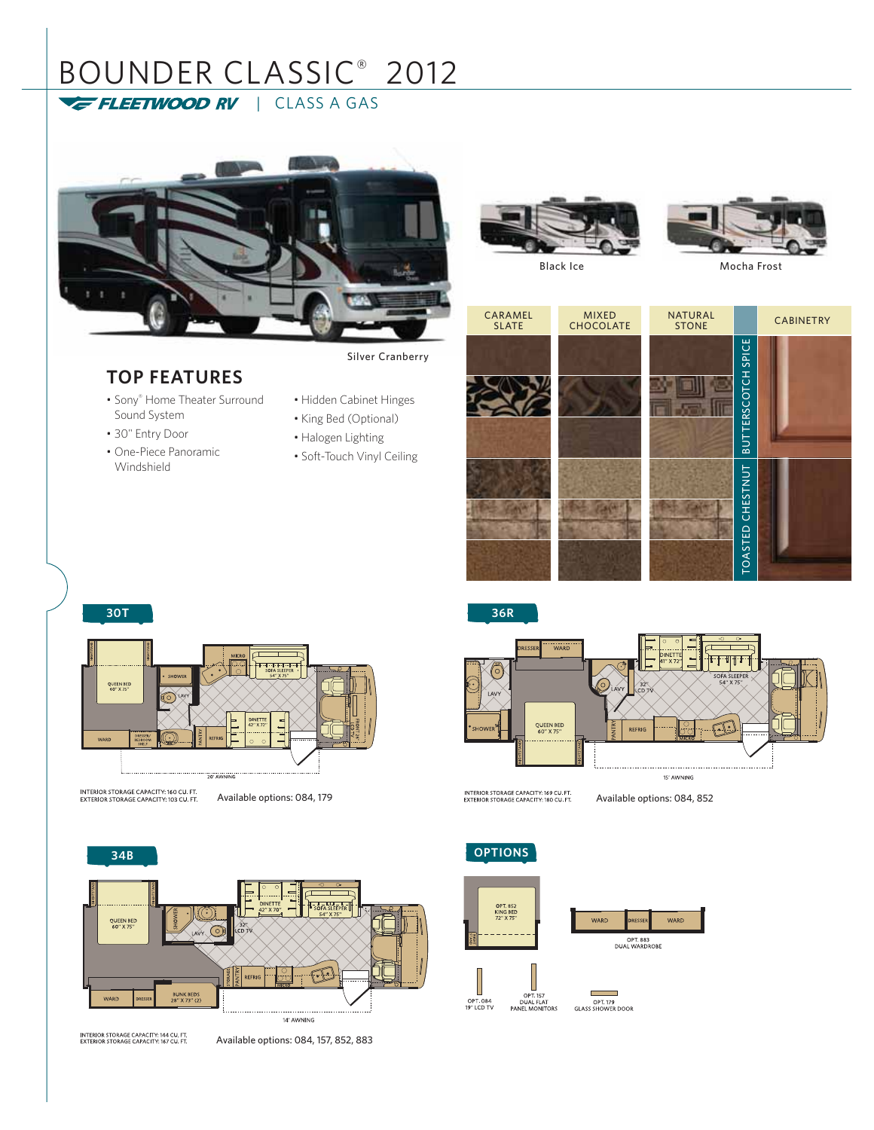# BOUNDER CLASSIC® 2012 FLEETWOOD RV | CLASS A GAS

## **TOP FEATURES**

- Sony® Home Theater Surround Sound System
- 30" Entry Door
- One-Piece Panoramic Windshield

Silver Cranberry

- Hidden Cabinet Hinges
- King Bed (Optional)
- Halogen Lighting
- Soft-Touch Vinyl Ceiling







| CARAMEL<br><b>SLATE</b> | <b>MIXED</b><br><b>CHOCOLATE</b> | <b>NATURAL</b><br><b>STONE</b> |                                          | <b>CABINETRY</b> |  |
|-------------------------|----------------------------------|--------------------------------|------------------------------------------|------------------|--|
|                         |                                  |                                | SPICE<br>SCOTCH<br>ĒΚ<br>⊨<br><b>TUB</b> |                  |  |
|                         |                                  |                                | CHESTNUT<br><b>TOASTED</b>               |                  |  |

**36R**



QUEEN BED ro

INTERIOR STORAGE CAPACITY: 160 CU. FT.<br>EXTERIOR STORAGE CAPACITY: 103 CU. FT.

**30T**

Available options: 084, 179 **Available options: 084, 852** Available options: 084, 852



INTERIOR STORAGE CAPACITY: 144 CU, FT<br>EXTERIOR STORAGE CAPACITY: 167 CU, FT

Available options: 084, 157, 852, 883







г ۰ OPT 179<br>GLASS SHOWER DOOR